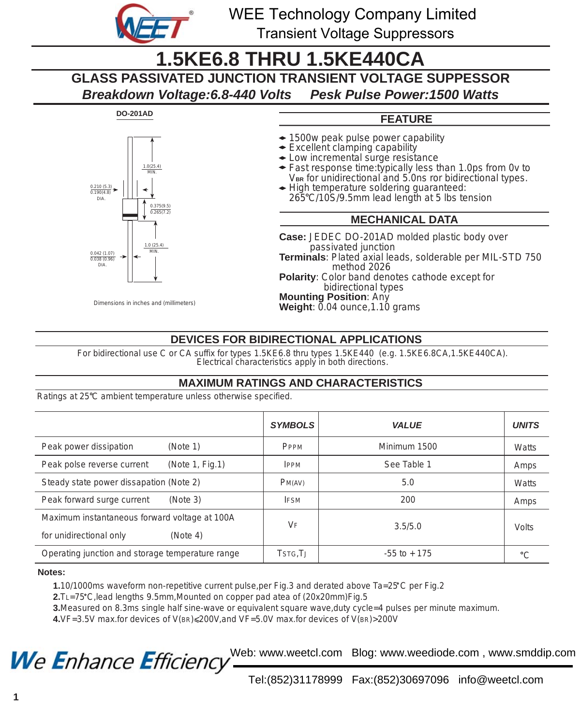

**DO-201AD**

*0.210 (5.3) 0.190(4.8) DIA.*

*0.042 (1.07) 0.038 (0.96) DIA.*

WEE Technology Company Limited Transient Voltage Suppressors

# **1.5KE6.8 THRU 1.5KE440CA**

**GLASS PASSIVATED JUNCTION TRANSIENT VOLTAGE SUPPESSOR**

*Breakdown Voltage:6.8-440 Volts Pesk Pulse Power:1500 Watts*



- 1500w peak pulse power capability
- Excellent clamping capability
- Low incremental surge resistance
- Fast response time:typically less than 1.0ps from 0v to V<sub>BR</sub> for unidirectional and 5.0ns ror bidirectional types.
- High temperature soldering guaranteed:  $265^{\circ}$ C/10S/9.5mm lead length at 5 lbs tension

### **MECHANICAL DATA**

**Case:** JEDEC DO-201AD molded plastic body over passivated junction **Terminals**: Plated axial leads, solderable per MIL-STD 750 method 2026 **Polarity**: Color band denotes cathode except for bidirectional types **Mounting Position**: Any **Weight**: 0.04 ounce, 1.10 grams

### **DEVICES FOR BIDIRECTIONAL APPLICATIONS**

For bidirectional use C or CA suffix for types 1.5KE6.8 thru types 1.5KE440 (e.g. 1.5KE6.8CA,1.5KE440CA). Electrical characteristics apply in both directions.

### **MAXIMUM RATINGS AND CHARACTERISTICS**

Ratings at 25<sup>°</sup>C ambient temperature unless otherwise specified.

*Dimensions in inches and (millimeters)*

*0.375(9.5) 0.265(7.2)*

*1.0 (25.4) MIN.*

*1.0(25.4) MIN.*

|                                                   | <b>SYMBOLS</b> | VALUE           | <b>UNITS</b> |
|---------------------------------------------------|----------------|-----------------|--------------|
| Peak power dissipation<br>(Note 1)                | PPPM           | Minimum 1500    | Watts        |
| (Note $1$ , Fig. 1)<br>Peak polse reverse current | <b>IPPM</b>    | See Table 1     | Amps         |
| Steady state power dissapation (Note 2)           | PM(AV)         | 5.0             | <b>Watts</b> |
| Peak forward surge current<br>(Note 3)            | <b>IFSM</b>    | 200             | Amps         |
| Maximum instantaneous forward voltage at 100A     | $V_{\rm F}$    | 3.5/5.0         | <b>Volts</b> |
| for unidirectional only<br>(Note 4)               |                |                 |              |
| Operating junction and storage temperature range  | TSTG, TJ       | $-55$ to $+175$ | $^{\circ}C$  |

#### **Notes:**

 **1.**10/1000ms waveform non-repetitive current pulse,per Fig.3 and derated above Ta=25 C per Fig.2

 **2.**TL=75 C,lead lengths 9.5mm,Mounted on copper pad atea of (20x20mm)Fig.5

**3.**Measured on 8.3ms single half sine-wave or equivalent square wave,duty cycle=4 pulses per minute maximum.

 **4.**VF=3.5V max.for devices of V(BR)<200V,and VF=5.0V max.for devices of V(BR)>200V

We Enhance Efficiency

Web: www.weetcl.com Blog: www.weediode.com , www.smddip.com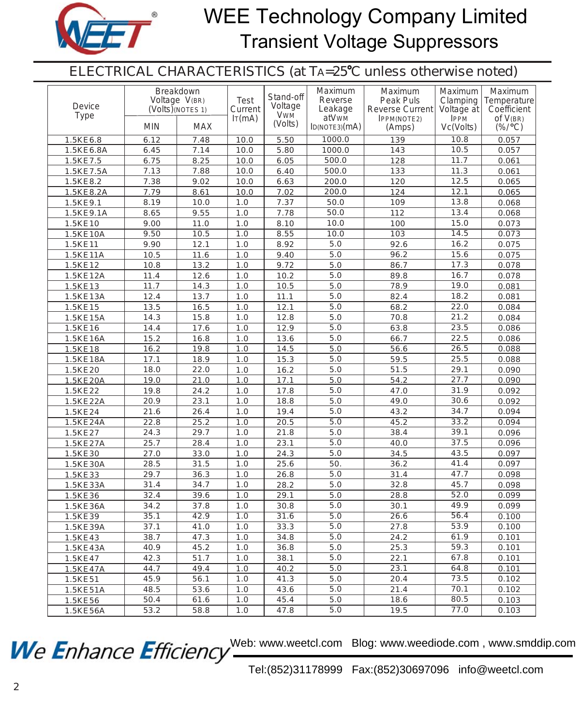

# WEE Technology Company Limited Transient Voltage Suppressors

ELECTRICAL CHARACTERISTICS (at TA=25°C unless otherwise noted)

| Device<br>Type | Breakdown<br>Voltage V(BR)<br>$(Volts)$ (NOTES 1) | <b>Test</b><br>Current | Stand-off<br>Voltage | Maximum<br>Reverse<br>Leakage | Maximum<br>Peak Puls<br>Reverse Current | Maximum<br>Clamping<br>Voltage at | Maximum<br>Temperature<br>Coefficient |                                         |
|----------------|---------------------------------------------------|------------------------|----------------------|-------------------------------|-----------------------------------------|-----------------------------------|---------------------------------------|-----------------------------------------|
|                | <b>MIN</b>                                        | <b>MAX</b>             | Tr(mA)               | <b>VWM</b><br>(Volts)         | atVw <sub>M</sub><br>ID(NOTE3)(mA)      | <b>IPPM(NOTE2)</b><br>(Amps)      | <b>IPPM</b><br>Vc(Volts)              | of $V(BR)$<br>$(\frac{\%}{c})^{\circ}C$ |
| 1.5KE6.8       | 6.12                                              | 7.48                   | 10.0                 | 5.50                          | 1000.0                                  | 139                               | 10.8                                  | 0.057                                   |
| 1.5KE6.8A      | 6.45                                              | 7.14                   | 10.0                 | 5.80                          | 1000.0                                  | 143                               | 10.5                                  | 0.057                                   |
| 1.5KE7.5       | 6.75                                              | 8.25                   | 10.0                 | 6.05                          | 500.0                                   | 128                               | 11.7                                  | 0.061                                   |
| 1.5KE7.5A      | 7.13                                              | 7.88                   | 10.0                 | 6.40                          | 500.0                                   | 133                               | 11.3                                  | 0.061                                   |
| 1.5KE8.2       | 7.38                                              | 9.02                   | 10.0                 | 6.63                          | 200.0                                   | 120                               | 12.5                                  | 0.065                                   |
| 1.5KE8.2A      | 7.79                                              | 8.61                   | 10.0                 | 7.02                          | 200.0                                   | 124                               | 12.1                                  | 0.065                                   |
| 1.5KE9.1       | 8.19                                              | 10.0                   | 1.0                  | 7.37                          | 50.0                                    | 109                               | 13.8                                  | 0.068                                   |
| 1.5KE9.1A      | 8.65                                              | 9.55                   | 1.0                  | 7.78                          | 50.0                                    | 112                               | 13.4                                  | 0.068                                   |
| 1.5KE10        | 9.00                                              | 11.0                   | 1.0                  | 8.10                          | 10.0                                    | 100                               | 15.0                                  | 0.073                                   |
| 1.5KE10A       | 9.50                                              | 10.5                   | 1.0                  | 8.55                          | 10.0                                    | 103                               | 14.5                                  | 0.073                                   |
| 1.5KE11        | 9.90                                              | 12.1                   | 1.0                  | 8.92                          | 5.0                                     | 92.6                              | 16.2                                  | 0.075                                   |
| 1.5KE11A       | 10.5                                              | 11.6                   | 1.0                  | 9.40                          | 5.0                                     | 96.2                              | 15.6                                  | 0.075                                   |
| 1.5KE12        | 10.8                                              | 13.2                   | 1.0                  | 9.72                          | 5.0                                     | 86.7                              | 17.3                                  | 0.078                                   |
| 1.5KE12A       | 11.4                                              | 12.6                   | 1.0                  | 10.2                          | 5.0                                     | 89.8                              | 16.7                                  | 0.078                                   |
| 1.5KE13        | 11.7                                              | 14.3                   | 1.0                  | 10.5                          | 5.0                                     | 78.9                              | 19.0                                  | 0.081                                   |
| 1.5KE13A       | 12.4                                              | 13.7                   | 1.0                  | 11.1                          | 5.0                                     | 82.4                              | 18.2                                  | 0.081                                   |
| 1.5KE15        | 13.5                                              | 16.5                   | 1.0                  | 12.1                          | 5.0                                     | 68.2                              | 22.0                                  | 0.084                                   |
| 1.5KE15A       | 14.3                                              | 15.8                   | 1.0                  | 12.8                          | 5.0                                     | 70.8                              | 21.2                                  | 0.084                                   |
| 1.5KE16        | 14.4                                              | 17.6                   | 1.0                  | 12.9                          | 5.0                                     | 63.8                              | 23.5                                  | 0.086                                   |
| 1.5KE16A       | 15.2                                              | 16.8                   | $1.0\,$              | 13.6                          | 5.0                                     | 66.7                              | 22.5                                  | 0.086                                   |
| 1.5KE18        | 16.2                                              | 19.8                   | 1.0                  | 14.5                          | 5.0                                     | 56.6                              | 26.5                                  | 0.088                                   |
| 1.5KE18A       | 17.1                                              | 18.9                   | 1.0                  | 15.3                          | 5.0                                     | 59.5                              | 25.5                                  | 0.088                                   |
| 1.5KE20        | 18.0                                              | 22.0                   | 1.0                  | 16.2                          | 5.0                                     | 51.5                              | 29.1                                  | 0.090                                   |
| 1.5KE20A       | 19.0                                              | 21.0                   | 1.0                  | 17.1                          | 5.0                                     | 54.2                              | 27.7                                  | 0.090                                   |
| 1.5KE22        | 19.8                                              | 24.2                   | 1.0                  | 17.8                          | 5.0                                     | 47.0                              | 31.9                                  | 0.092                                   |
| 1.5KE22A       | 20.9                                              | 23.1                   | 1.0                  | 18.8                          | 5.0                                     | 49.0                              | 30.6                                  | 0.092                                   |
| 1.5KE24        | 21.6                                              | 26.4                   | 1.0                  | 19.4                          | 5.0                                     | 43.2                              | 34.7                                  | 0.094                                   |
| 1.5KE24A       | 22.8                                              | 25.2                   | 1.0                  | 20.5                          | 5.0                                     | 45.2                              | 33.2                                  | 0.094                                   |
| 1.5KE27        | 24.3                                              | 29.7                   | 1.0                  | 21.8                          | 5.0                                     | 38.4                              | 39.1                                  | 0.096                                   |
| 1.5KE27A       | 25.7                                              | 28.4                   | 1.0                  | 23.1                          | 5.0                                     | 40.0                              | 37.5                                  | 0.096                                   |
| 1.5KE30        | 27.0                                              | 33.0                   | 1.0                  | 24.3                          | 5.0                                     | 34.5                              | 43.5                                  | 0.097                                   |
| 1.5KE30A       | 28.5                                              | 31.5                   | 1.0                  | 25.6                          | 50.                                     | 36.2                              | 41.4                                  | 0.097                                   |
| 1.5KE33        | 29.7                                              | 36.3                   | 1.0                  | 26.8                          | 5.0                                     | 31.4                              | 47.7                                  | 0.098                                   |
| 1.5KE33A       | 31.4                                              | 34.7                   | 1.0                  | 28.2                          | 5.0                                     | 32.8                              | 45.7                                  | 0.098                                   |
| 1.5KE36        | 32.4                                              | 39.6                   | 1.0                  | 29.1                          | 5.0                                     | 28.8                              | 52.0                                  | 0.099                                   |
| 1.5KE36A       | 34.2                                              | 37.8                   | 1.0                  | 30.8                          | 5.0                                     | 30.1                              | 49.9                                  | 0.099                                   |
| 1.5KE39        | 35.1                                              | 42.9                   | $\overline{1.0}$     | 31.6                          | 5.0                                     | 26.6                              | 56.4                                  | 0.100                                   |
| 1.5KE39A       | 37.1                                              | 41.0                   | 1.0                  | 33.3                          | 5.0                                     | 27.8                              | 53.9                                  | 0.100                                   |
| 1.5KE43        | 38.7                                              | 47.3                   | 1.0                  | 34.8                          | 5.0                                     | 24.2                              | 61.9                                  | 0.101                                   |
| 1.5KE43A       | 40.9                                              | 45.2                   | 1.0                  | 36.8                          | 5.0                                     | 25.3                              | 59.3                                  | 0.101                                   |
| 1.5KE47        | 42.3                                              | 51.7                   | 1.0                  | 38.1                          | 5.0                                     | 22.1                              | 67.8                                  | 0.101                                   |
| 1.5KE47A       | 44.7                                              | 49.4                   | 1.0                  | 40.2                          | 5.0                                     | 23.1                              | 64.8                                  | 0.101                                   |
| 1.5KE51        | 45.9                                              | 56.1                   | 1.0                  | 41.3                          | 5.0                                     | 20.4                              | 73.5                                  | 0.102                                   |
| 1.5KE51A       | 48.5                                              | 53.6                   | 1.0                  | 43.6                          | 5.0                                     | 21.4                              | 70.1                                  | 0.102                                   |
| 1.5KE56        | 50.4                                              | 61.6                   | 1.0                  | 45.4                          | 5.0                                     | 18.6                              | 80.5                                  | 0.103                                   |
| 1.5KE56A       | 53.2                                              | 58.8                   | 1.0                  | 47.8                          | 5.0                                     | 19.5                              | 77.0                                  | 0.103                                   |

We Enhance Efficiency<sup>Web: www.weetcl.com Blog: www.weediode.com, www.smddip.com</sup>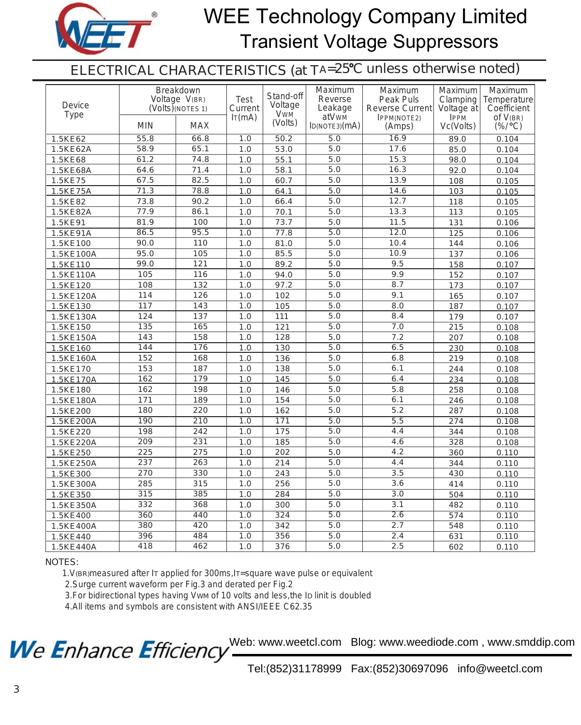

# WEE Technology Company Limited Transient Voltage Suppressors

ELECTRICAL CHARACTERISTICS (at TA=25°C unless otherwise noted)

| Device<br><b>Type</b> |            | Breakdown<br>Voltage V(BR)<br>$(Volts)$ (NOTES 1) | Test<br>Current<br>Tr(mA) | Stand-off<br>Voltage<br><b>VWM</b><br>(Volts) | Maximum<br>Reverse<br>Leakage<br>atVwM | Maximum<br>Peak Puls<br><b>Reverse Current</b><br>IPPM(NOTE2) | Maximum<br>Clamping<br>Voltage at<br><b>IPPM</b> | Maximum<br>Temperature<br>Coefficient<br>of $V(BR)$ |
|-----------------------|------------|---------------------------------------------------|---------------------------|-----------------------------------------------|----------------------------------------|---------------------------------------------------------------|--------------------------------------------------|-----------------------------------------------------|
|                       | <b>MIN</b> | <b>MAX</b>                                        |                           |                                               | ID(NOTE3)(mA)                          | (Amps)                                                        | Vc(Volts)                                        | $(\frac{\%}{\circ}C)$                               |
| 1.5KE62               | 55.8       | 66.8                                              | 1.0                       | 50.2                                          | 5.0                                    | 16.9                                                          | 89.0                                             | 0.104                                               |
| 1.5KE62A              | 58.9       | 65.1                                              | 1.0                       | 53.0                                          | 5.0                                    | 17.6                                                          | 85.0                                             | 0.104                                               |
| 1.5KE68               | 61.2       | 74.8                                              | 1.0                       | 55.1                                          | 5.0                                    | 15.3                                                          | 98.0                                             | 0.104                                               |
| 1.5KE68A              | 64.6       | 71.4                                              | 1.0                       | 58.1                                          | 5.0                                    | 16.3                                                          | 92.0                                             | 0.104                                               |
| 1.5KE75               | 67.5       | 82.5                                              | 1.0                       | 60.7                                          | 5.0                                    | 13.9                                                          | 108                                              | 0.105                                               |
| 1.5KE75A              | 71.3       | 78.8                                              | 1.0                       | 64.1                                          | 5.0                                    | 14.6                                                          | 103                                              | 0.105                                               |
| 1.5KE82               | 73.8       | 90.2                                              | 1.0                       | 66.4                                          | 5.0                                    | 12.7                                                          | 118                                              | 0.105                                               |
| 1.5KE82A              | 77.9       | 86.1                                              | 1.0                       | 70.1                                          | 5.0                                    | 13.3                                                          | 113                                              | 0.105                                               |
| 1.5KE91               | 81.9       | 100                                               | 1.0                       | 73.7                                          | 5.0                                    | 11.5                                                          | 131                                              | 0.106                                               |
| 1.5KE91A              | 86.5       | 95.5                                              | 1.0                       | 77.8                                          | 5.0                                    | 12.0                                                          | 125                                              | 0.106                                               |
| 1.5KE100              | 90.0       | 110                                               | 1.0                       | 81.0                                          | 5.0                                    | 10.4                                                          | 144                                              | 0.106                                               |
| 1.5KE100A             | 95.0       | 105                                               | 1.0                       | 85.5                                          | 5.0                                    | 10.9                                                          | 137                                              | 0.106                                               |
| 1.5KE110              | 99.0       | 121                                               | 1.0                       | 89.2                                          | 5.0                                    | 9.5                                                           | 158                                              | 0.107                                               |
| 1.5KE110A             | 105        | 116                                               | 1.0                       | 94.0                                          | 5.0                                    | 9.9                                                           | 152                                              | 0.107                                               |
| 1.5KE120              | 108        | 132                                               | 1.0                       | 97.2                                          | 5.0                                    | 8.7                                                           | 173                                              | 0.107                                               |
| 1.5KE120A             | 114        | 126                                               | 1.0                       | 102                                           | 5.0                                    | 9.1                                                           | 165                                              | 0.107                                               |
| 1.5KE130              | 117        | 143                                               | 1.0                       | 105                                           | 5.0                                    | $\overline{8.0}$                                              | 187                                              | 0.107                                               |
| 1.5KE130A             | 124        | 137                                               | 1.0                       | 111                                           | 5.0                                    | 8.4                                                           | 179                                              | 0.107                                               |
| 1.5KE150              | 135        | 165                                               | 1.0                       | 121                                           | 5.0                                    | 7.0                                                           | 215                                              | 0.108                                               |
| 1.5KE150A             | 143        | 158                                               | 1.0                       | 128                                           | 5.0                                    | 7.2                                                           | 207                                              | 0.108                                               |
| 1.5KE160              | 144        | 176                                               | 1.0                       | 130                                           | 5.0                                    | 6.5                                                           | 230                                              | 0.108                                               |
| 1.5KE160A             | 152        | 168                                               | 1.0                       | 136                                           | 5.0                                    | 6.8                                                           | 219                                              | 0.108                                               |
| 1.5KE170              | 153        | 187                                               | 1.0                       | 138                                           | 5.0                                    | 6.1                                                           | 244                                              | 0.108                                               |
| 1.5KE170A             | 162        | 179                                               | 1.0                       | 145                                           | 5.0                                    | 6.4                                                           | 234                                              | 0.108                                               |
| 1.5KE180              | 162        | 198                                               | 1.0                       | 146                                           | 5.0                                    | 5.8                                                           | 258                                              | 0.108                                               |
| 1.5KE180A             | 171        | 189                                               | 1.0                       | 154                                           | 5.0                                    | 6.1                                                           | 246                                              | 0.108                                               |
| 1.5KE200              | 180        | 220                                               | 1.0                       | 162                                           | 5.0                                    | 5.2                                                           | 287                                              | 0.108                                               |
| 1.5KE200A             | 190        | $\overline{210}$                                  | 1.0                       | 171                                           | 5.0                                    | $\overline{5.5}$                                              | 274                                              | 0.108                                               |
| 1.5KE220              | 198        | 242                                               | 1.0                       | 175                                           | 5.0                                    | 4.4                                                           | 344                                              | 0.108                                               |
| 1.5KE220A             | 209        | $\overline{231}$                                  | 1.0                       | 185                                           | 5.0                                    | 4.6                                                           | 328                                              | 0.108                                               |
| 1.5KE250              | 225        | $\overline{275}$                                  | 1.0                       | 202                                           | 5.0                                    | $\overline{4.2}$                                              | 360                                              | 0.110                                               |
| 1.5KE250A             | 237        | 263                                               | 1.0                       | 214                                           | 5.0                                    | 4.4                                                           | 344                                              | 0.110                                               |
| 1.5KE300              | 270        | 330                                               | 1.0                       | 243                                           | 5.0                                    | 3.5                                                           | 430                                              | 0.110                                               |
| 1.5KE300A             | 285        | 315                                               | 1.0                       | 256                                           | 5.0                                    | 3.6                                                           | 414                                              | 0.110                                               |
| 1.5KE350              | 315        | 385                                               | 1.0                       | 284                                           | 5.0                                    | 3.0                                                           | 504                                              | 0.110                                               |
| 1.5KE350A             | 332        | 368                                               | 1.0                       | 300                                           | 5.0                                    | 3.1                                                           | 482                                              | 0.110                                               |
| 1.5KE400              | 360        | 440                                               | 1.0                       | 324                                           | 5.0                                    | $\overline{2.6}$                                              | 574                                              | 0.110                                               |
| 1.5KE400A             | 380        | 420                                               | 1.0                       | $\overline{342}$                              | 5.0                                    | 2.7                                                           | 548                                              | 0.110                                               |
| 1.5KE440              | 396        | 484                                               | 1.0                       | 356                                           | 5.0                                    | 2.4                                                           | 631                                              | 0.110                                               |
| 1.5KE440A             | 418        | 462                                               | 1.0                       | 376                                           | 5.0                                    | $\overline{2.5}$                                              | 602                                              | 0.110                                               |

NOTES:

1.V(BR)measured after IT applied for 300ms,IT=square wave pulse or equivalent

2.Surge current waveform per Fig.3 and derated per Fig.2

3.For bidirectional types having VWM of 10 volts and less,the ID linit is doubled

4.All items and symbols are consistent with ANSI/IEEE C62.35

We Enhance Efficiency

Web: www.weetcl.com Blog: www.weediode.com , www.smddip.com